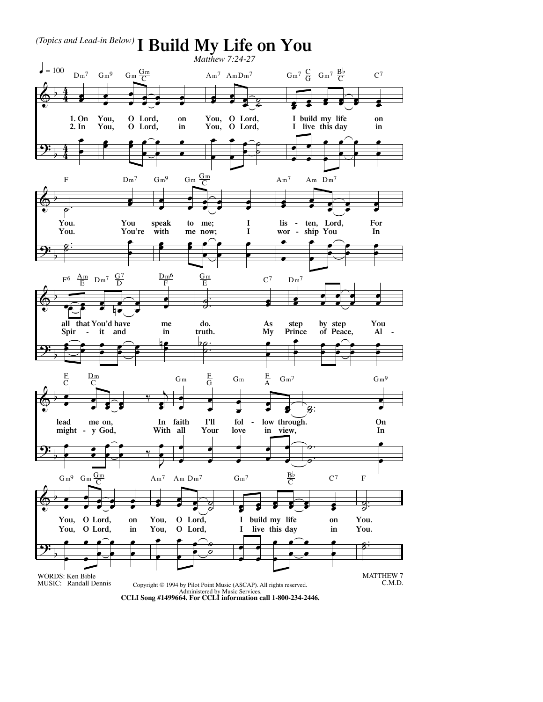

Administered by Music Services. **CCLI Song #1499664. For CCLI information call 1-800-234-2446.**